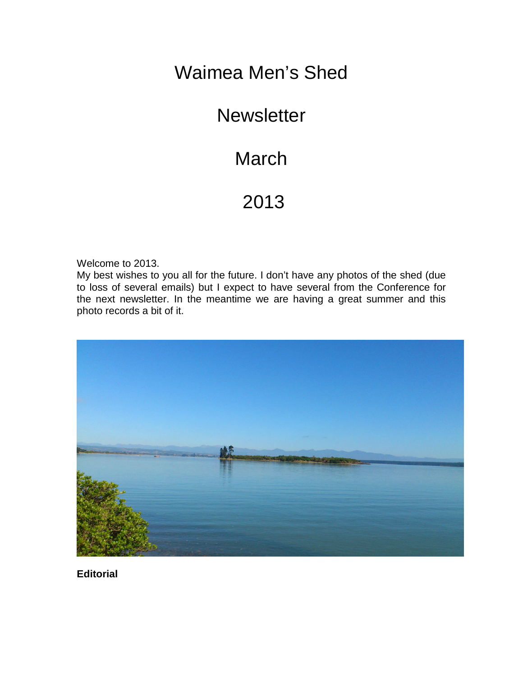# Waimea Men's Shed

### **Newsletter**

# **March**

# 2013

Welcome to 2013.

My best wishes to you all for the future. I don't have any photos of the shed (due to loss of several emails) but I expect to have several from the Conference for the next newsletter. In the meantime we are having a great summer and this photo records a bit of it.



**Editorial**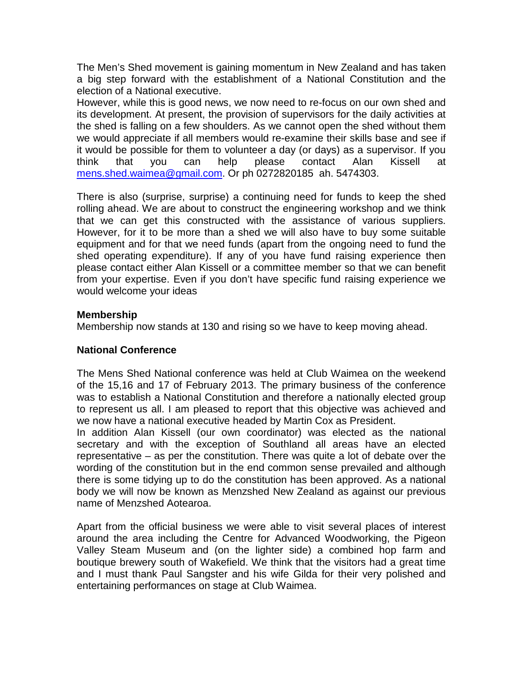The Men's Shed movement is gaining momentum in New Zealand and has taken a big step forward with the establishment of a National Constitution and the election of a National executive.

However, while this is good news, we now need to re-focus on our own shed and its development. At present, the provision of supervisors for the daily activities at the shed is falling on a few shoulders. As we cannot open the shed without them we would appreciate if all members would re-examine their skills base and see if it would be possible for them to volunteer a day (or days) as a supervisor. If you think that you can help please contact Alan Kissell at [mens.shed.waimea@gmail.com.](mailto:mens.shed.waimea@gmail.com) Or ph 0272820185 ah. 5474303.

There is also (surprise, surprise) a continuing need for funds to keep the shed rolling ahead. We are about to construct the engineering workshop and we think that we can get this constructed with the assistance of various suppliers. However, for it to be more than a shed we will also have to buy some suitable equipment and for that we need funds (apart from the ongoing need to fund the shed operating expenditure). If any of you have fund raising experience then please contact either Alan Kissell or a committee member so that we can benefit from your expertise. Even if you don't have specific fund raising experience we would welcome your ideas

#### **Membership**

Membership now stands at 130 and rising so we have to keep moving ahead.

### **National Conference**

The Mens Shed National conference was held at Club Waimea on the weekend of the 15,16 and 17 of February 2013. The primary business of the conference was to establish a National Constitution and therefore a nationally elected group to represent us all. I am pleased to report that this objective was achieved and we now have a national executive headed by Martin Cox as President.

In addition Alan Kissell (our own coordinator) was elected as the national secretary and with the exception of Southland all areas have an elected representative – as per the constitution. There was quite a lot of debate over the wording of the constitution but in the end common sense prevailed and although there is some tidying up to do the constitution has been approved. As a national body we will now be known as Menzshed New Zealand as against our previous name of Menzshed Aotearoa.

Apart from the official business we were able to visit several places of interest around the area including the Centre for Advanced Woodworking, the Pigeon Valley Steam Museum and (on the lighter side) a combined hop farm and boutique brewery south of Wakefield. We think that the visitors had a great time and I must thank Paul Sangster and his wife Gilda for their very polished and entertaining performances on stage at Club Waimea.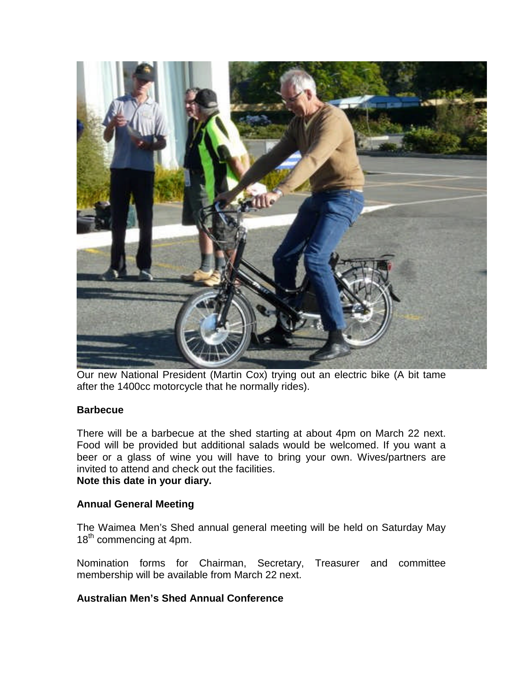

Our new National President (Martin Cox) trying out an electric bike (A bit tame after the 1400cc motorcycle that he normally rides).

#### **Barbecue**

There will be a barbecue at the shed starting at about 4pm on March 22 next. Food will be provided but additional salads would be welcomed. If you want a beer or a glass of wine you will have to bring your own. Wives/partners are invited to attend and check out the facilities. **Note this date in your diary.**

#### **Annual General Meeting**

The Waimea Men's Shed annual general meeting will be held on Saturday May 18<sup>th</sup> commencing at 4pm.

Nomination forms for Chairman, Secretary, Treasurer and committee membership will be available from March 22 next.

#### **Australian Men's Shed Annual Conference**